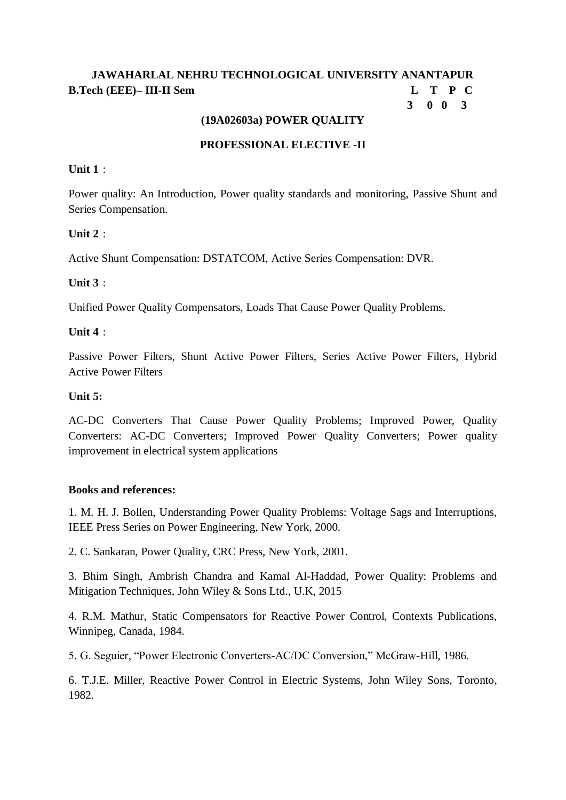# **JAWAHARLAL NEHRU TECHNOLOGICAL UNIVERSITY ANANTAPUR B.Tech (EEE)– III-II Sem L T P C**

# **3 0 0 3**

### **(19A02603a) POWER QUALITY**

### **PROFESSIONAL ELECTIVE -II**

### **Unit 1** :

Power quality: An Introduction, Power quality standards and monitoring, Passive Shunt and Series Compensation.

### **Unit 2**  $\cdot$

Active Shunt Compensation: DSTATCOM, Active Series Compensation: DVR.

### **Unit 3** :

Unified Power Quality Compensators, Loads That Cause Power Quality Problems.

### **Unit 4** :

Passive Power Filters, Shunt Active Power Filters, Series Active Power Filters, Hybrid Active Power Filters

#### **Unit 5:**

AC-DC Converters That Cause Power Quality Problems; Improved Power, Quality Converters: AC-DC Converters; Improved Power Quality Converters; Power quality improvement in electrical system applications

### **Books and references:**

1. M. H. J. Bollen, Understanding Power Quality Problems: Voltage Sags and Interruptions, IEEE Press Series on Power Engineering, New York, 2000.

2. C. Sankaran, Power Quality, CRC Press, New York, 2001.

3. Bhim Singh, Ambrish Chandra and Kamal Al-Haddad, Power Quality: Problems and Mitigation Techniques, John Wiley & Sons Ltd., U.K, 2015

4. R.M. Mathur, Static Compensators for Reactive Power Control, Contexts Publications, Winnipeg, Canada, 1984.

5. G. Seguier, "Power Electronic Converters-AC/DC Conversion," McGraw-Hill, 1986.

6. T.J.E. Miller, Reactive Power Control in Electric Systems, John Wiley Sons, Toronto, 1982.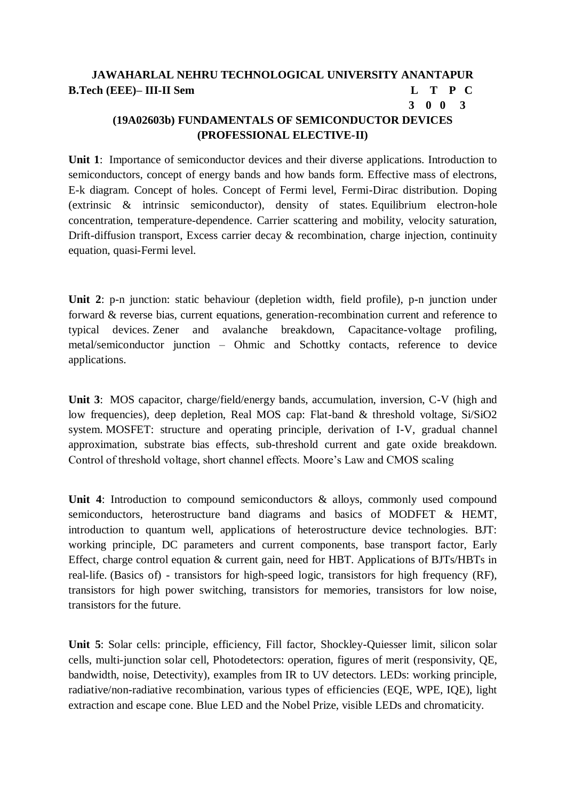# **JAWAHARLAL NEHRU TECHNOLOGICAL UNIVERSITY ANANTAPUR B.Tech (EEE)– III-II Sem L T P C 3 0 0 3**

# **(19A02603b) FUNDAMENTALS OF SEMICONDUCTOR DEVICES (PROFESSIONAL ELECTIVE-II)**

**Unit 1**: Importance of semiconductor devices and their diverse applications. Introduction to semiconductors, concept of energy bands and how bands form. Effective mass of electrons, E-k diagram. Concept of holes. Concept of Fermi level, Fermi-Dirac distribution. Doping (extrinsic & intrinsic semiconductor), density of states. Equilibrium electron-hole concentration, temperature-dependence. Carrier scattering and mobility, velocity saturation, Drift-diffusion transport, Excess carrier decay & recombination, charge injection, continuity equation, quasi-Fermi level.

**Unit 2**: p-n junction: static behaviour (depletion width, field profile), p-n junction under forward & reverse bias, current equations, generation-recombination current and reference to typical devices. Zener and avalanche breakdown, Capacitance-voltage profiling, metal/semiconductor junction – Ohmic and Schottky contacts, reference to device applications.

**Unit 3**: MOS capacitor, charge/field/energy bands, accumulation, inversion, C-V (high and low frequencies), deep depletion, Real MOS cap: Flat-band & threshold voltage, Si/SiO2 system. MOSFET: structure and operating principle, derivation of I-V, gradual channel approximation, substrate bias effects, sub-threshold current and gate oxide breakdown. Control of threshold voltage, short channel effects. Moore's Law and CMOS scaling

Unit 4: Introduction to compound semiconductors & alloys, commonly used compound semiconductors, heterostructure band diagrams and basics of MODFET & HEMT, introduction to quantum well, applications of heterostructure device technologies. BJT: working principle, DC parameters and current components, base transport factor, Early Effect, charge control equation & current gain, need for HBT. Applications of BJTs/HBTs in real-life. (Basics of) - transistors for high-speed logic, transistors for high frequency (RF), transistors for high power switching, transistors for memories, transistors for low noise, transistors for the future.

**Unit 5**: Solar cells: principle, efficiency, Fill factor, Shockley-Quiesser limit, silicon solar cells, multi-junction solar cell, Photodetectors: operation, figures of merit (responsivity, QE, bandwidth, noise, Detectivity), examples from IR to UV detectors. LEDs: working principle, radiative/non-radiative recombination, various types of efficiencies (EQE, WPE, IQE), light extraction and escape cone. Blue LED and the Nobel Prize, visible LEDs and chromaticity.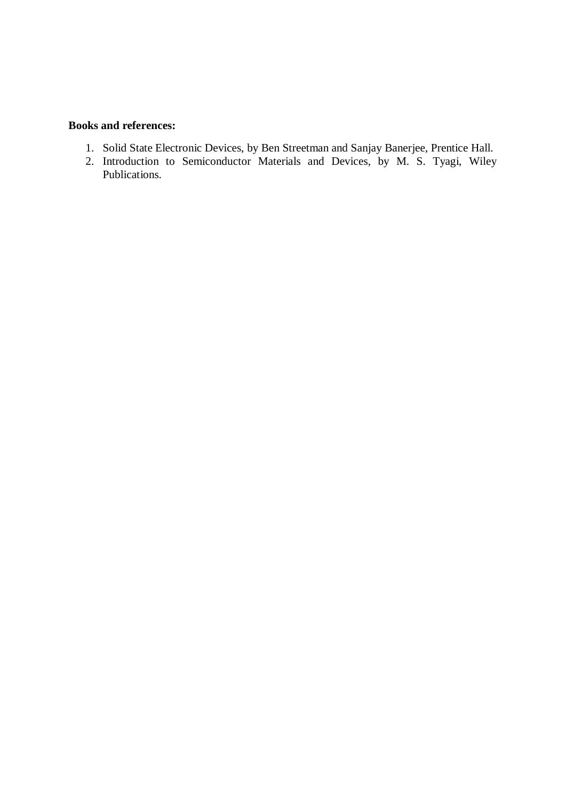#### **Books and references:**

- 1. Solid State Electronic Devices, by Ben Streetman and Sanjay Banerjee, Prentice Hall.
- 2. Introduction to Semiconductor Materials and Devices, by M. S. Tyagi, Wiley Publications.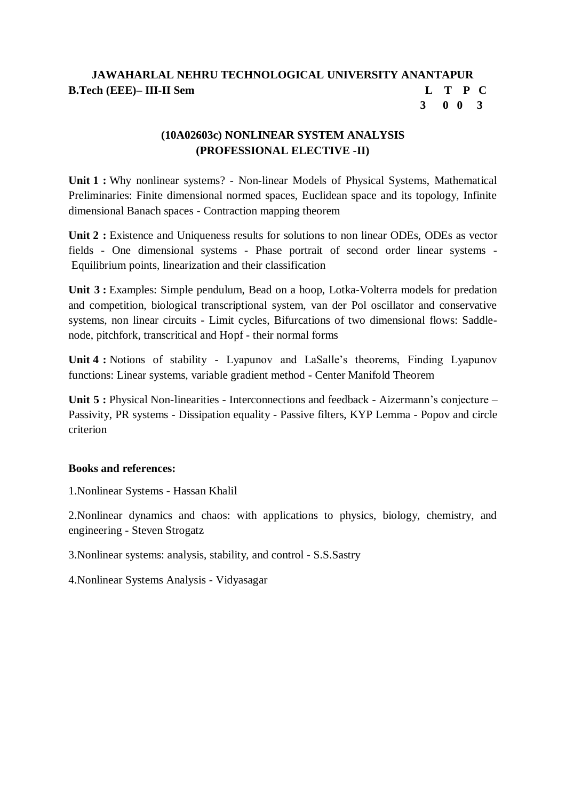### **JAWAHARLAL NEHRU TECHNOLOGICAL UNIVERSITY ANANTAPUR B.Tech (EEE)– III-II Sem L T P C 3 0 0 3**

# **(10A02603c) NONLINEAR SYSTEM ANALYSIS (PROFESSIONAL ELECTIVE -II)**

**Unit 1 :** Why nonlinear systems? - Non-linear Models of Physical Systems, Mathematical Preliminaries: Finite dimensional normed spaces, Euclidean space and its topology, Infinite dimensional Banach spaces - Contraction mapping theorem

**Unit 2 :** Existence and Uniqueness results for solutions to non linear ODEs, ODEs as vector fields - One dimensional systems - Phase portrait of second order linear systems - Equilibrium points, linearization and their classification

**Unit 3 :** Examples: Simple pendulum, Bead on a hoop, Lotka-Volterra models for predation and competition, biological transcriptional system, van der Pol oscillator and conservative systems, non linear circuits - Limit cycles, Bifurcations of two dimensional flows: Saddlenode, pitchfork, transcritical and Hopf - their normal forms

**Unit 4 :** Notions of stability - Lyapunov and LaSalle's theorems, Finding Lyapunov functions: Linear systems, variable gradient method - Center Manifold Theorem

**Unit 5 :** Physical Non-linearities - Interconnections and feedback - Aizermann's conjecture – Passivity, PR systems - Dissipation equality - Passive filters, KYP Lemma - Popov and circle criterion

### **Books and references:**

1.Nonlinear Systems - Hassan Khalil

2.Nonlinear dynamics and chaos: with applications to physics, biology, chemistry, and engineering - Steven Strogatz

3.Nonlinear systems: analysis, stability, and control - S.S.Sastry

4.Nonlinear Systems Analysis - Vidyasagar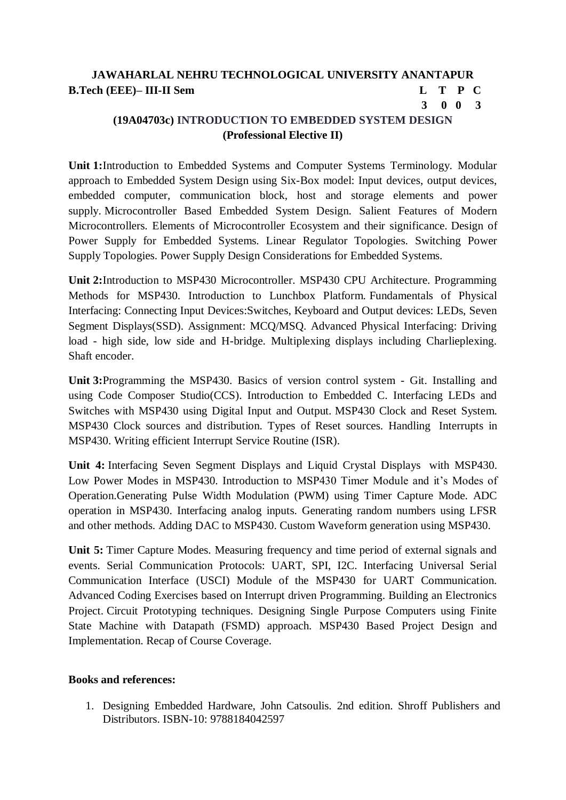# **JAWAHARLAL NEHRU TECHNOLOGICAL UNIVERSITY ANANTAPUR B.Tech (EEE)– III-II Sem L T P C**

# **3 0 0 3**

# **(19A04703c) INTRODUCTION TO EMBEDDED SYSTEM DESIGN (Professional Elective II)**

**Unit 1:**Introduction to Embedded Systems and Computer Systems Terminology. Modular approach to Embedded System Design using Six-Box model: Input devices, output devices, embedded computer, communication block, host and storage elements and power supply. Microcontroller Based Embedded System Design. Salient Features of Modern Microcontrollers. Elements of Microcontroller Ecosystem and their significance. Design of Power Supply for Embedded Systems. Linear Regulator Topologies. Switching Power Supply Topologies. Power Supply Design Considerations for Embedded Systems.

**Unit 2:**Introduction to MSP430 Microcontroller. MSP430 CPU Architecture. Programming Methods for MSP430. Introduction to Lunchbox Platform. Fundamentals of Physical Interfacing: Connecting Input Devices:Switches, Keyboard and Output devices: LEDs, Seven Segment Displays(SSD). Assignment: MCQ/MSQ. Advanced Physical Interfacing: Driving load - high side, low side and H-bridge. Multiplexing displays including Charlieplexing. Shaft encoder.

**Unit 3:**Programming the MSP430. Basics of version control system - Git. Installing and using Code Composer Studio(CCS). Introduction to Embedded C. Interfacing LEDs and Switches with MSP430 using Digital Input and Output. MSP430 Clock and Reset System. MSP430 Clock sources and distribution. Types of Reset sources. Handling Interrupts in MSP430. Writing efficient Interrupt Service Routine (ISR).

**Unit 4:** Interfacing Seven Segment Displays and Liquid Crystal Displays with MSP430. Low Power Modes in MSP430. Introduction to MSP430 Timer Module and it's Modes of Operation.Generating Pulse Width Modulation (PWM) using Timer Capture Mode. ADC operation in MSP430. Interfacing analog inputs. Generating random numbers using LFSR and other methods. Adding DAC to MSP430. Custom Waveform generation using MSP430.

**Unit 5:** Timer Capture Modes. Measuring frequency and time period of external signals and events. Serial Communication Protocols: UART, SPI, I2C. Interfacing Universal Serial Communication Interface (USCI) Module of the MSP430 for UART Communication. Advanced Coding Exercises based on Interrupt driven Programming. Building an Electronics Project. Circuit Prototyping techniques. Designing Single Purpose Computers using Finite State Machine with Datapath (FSMD) approach. MSP430 Based Project Design and Implementation. Recap of Course Coverage.

### **Books and references:**

1. Designing Embedded Hardware, John Catsoulis. 2nd edition. Shroff Publishers and Distributors. ISBN-10: 9788184042597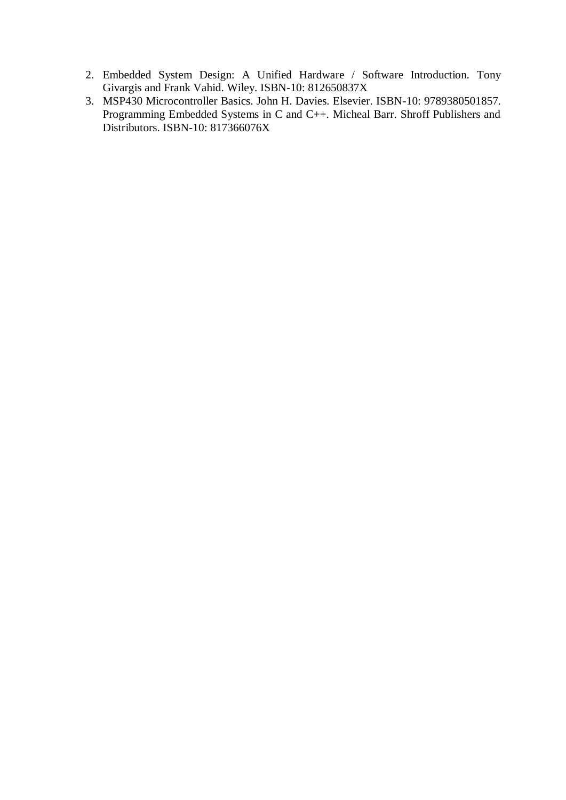- 2. Embedded System Design: A Unified Hardware / Software Introduction. Tony Givargis and Frank Vahid. Wiley. ISBN-10: 812650837X
- 3. MSP430 Microcontroller Basics. John H. Davies. Elsevier. ISBN-10: 9789380501857. Programming Embedded Systems in C and C++. Micheal Barr. Shroff Publishers and Distributors. ISBN-10: 817366076X